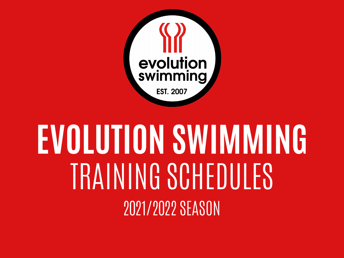

# **EVOLUTION SWIMMING** TRAINING SCHEDULES 2021/2022 SEASON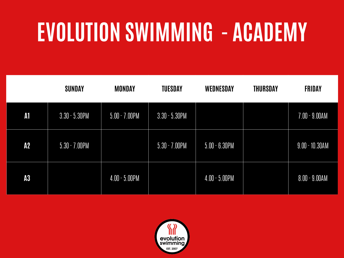# **EVOLUTION SWIMMING - ACADEMY**

|            | <b>SUNDAY</b>    | <b>MONDAY</b>              | <b>TUESDAY</b>   | <b>WEDNESDAY</b> | <b>THURSDAY</b> | <b>FRIDAY</b>     |
|------------|------------------|----------------------------|------------------|------------------|-----------------|-------------------|
| ${\bf A1}$ | $3.30 - 5.30$ PM | $5.00 - 7.00$ PM           | $3.30 - 5.30$ PM |                  |                 | $7.00 - 9.00AM$   |
| A2         | $5.30 - 7.00$ PM |                            | $5.30 - 7.00$ PM | $5.00 - 6.30$ PM |                 | $9.00 - 10.30$ AM |
| A3         |                  | $\overline{4.00}$ - 5.00PM |                  | $4.00 - 5.00$ PM |                 | $8.00 - 9.00AM$   |

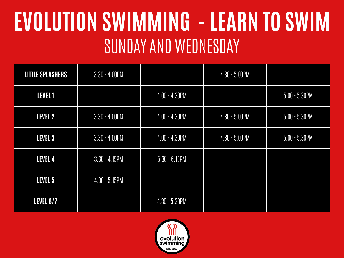#### **EVOLUTION SWIMMING - LEARN TO SWIM**  SUNDAY AND WEDNESDAY

| <b>LITTLE SPLASHERS</b> | $3.30 - 4.00$ PM |                  | $4.30 - 5.00$ PM |                  |
|-------------------------|------------------|------------------|------------------|------------------|
| LEVEL 1                 |                  | $4.00 - 4.30$ PM |                  | $5.00 - 5.30$ PM |
| LEVEL 2                 | $3.30 - 4.00$ PM | $4.00 - 4.30$ PM | $4.30 - 5.00$ PM | $5.00 - 5.30$ PM |
| LEVEL 3                 | $3.30 - 4.00$ PM | $4.00 - 4.30$ PM | $4.30 - 5.00$ PM | $5.00 - 5.30$ PM |
| LEVEL 4                 | $3.30 - 4.15$ PM | $5.30 - 6.15$ PM |                  |                  |
| LEVEL 5                 | $4.30 - 5.15$ PM |                  |                  |                  |
| <b>LEVEL 6/7</b>        |                  | $4.30 - 5.30$ PM |                  |                  |

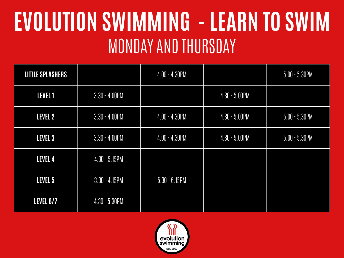#### **EVOLUTION SWIMMING - LEARN TO SWIM** MONDAY AND THURSDAY

| <b>LITTLE SPLASHERS</b> |                  | $4.00 - 4.30$ PM |                  | $5.00 - 5.30$ PM |
|-------------------------|------------------|------------------|------------------|------------------|
| LEVEL 1                 | $3.30 - 4.00$ PM |                  | $4.30 - 5.00$ PM |                  |
| LEVEL 2                 | $3.30 - 4.00$ PM | $4.00 - 4.30$ PM | $4.30 - 5.00$ PM | $5.00 - 5.30$ PM |
| LEVEL 3                 | $3.30 - 4.00$ PM | $4.00 - 4.30$ PM | $4.30 - 5.00$ PM | $5.00 - 5.30$ PM |
| LEVEL 4                 | $4.30 - 5.15$ PM |                  |                  |                  |
| LEVEL 5                 | $3.30 - 4.15$ PM | $5.30 - 6.15$ PM |                  |                  |
| <b>LEVEL 6/7</b>        | $4.30 - 5.30$ PM |                  |                  |                  |

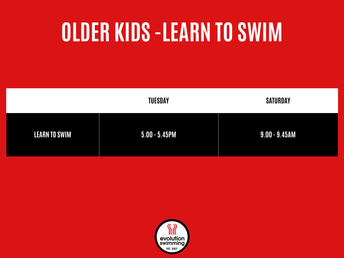## **OLDER KIDS -LEARN TO SWIM**

|                      | <b>TUESDAY</b>   | <b>SATURDAY</b>  |
|----------------------|------------------|------------------|
| <b>LEARN TO SWIM</b> | $5.00 - 5.45$ PM | $9.00 - 9.45$ AM |